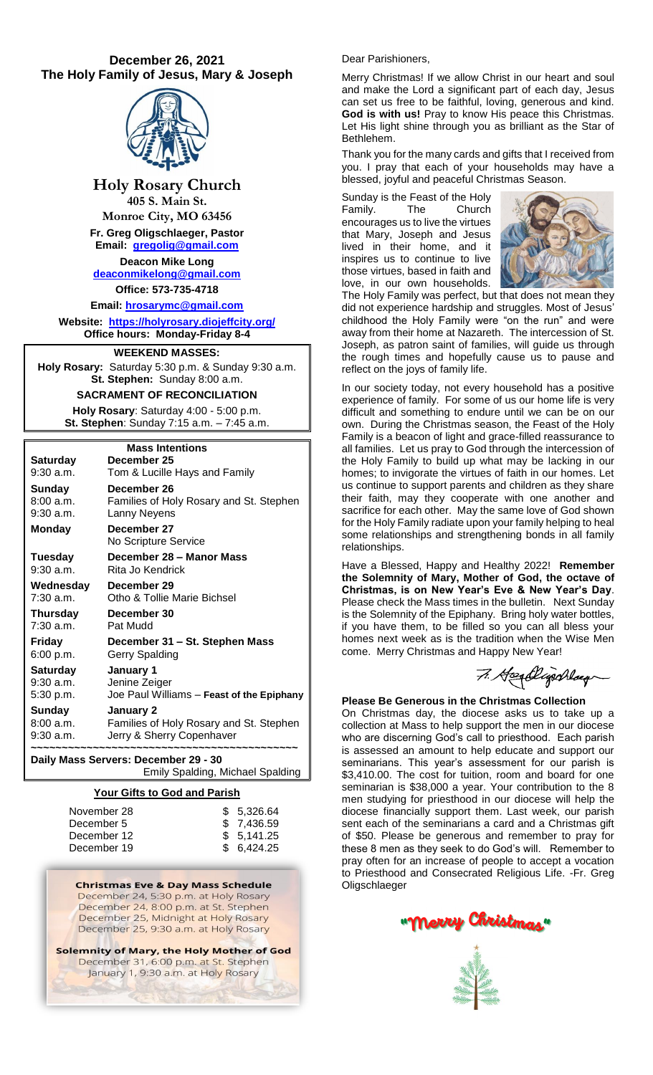# **December 26, 2021 The Holy Family of Jesus, Mary & Joseph**



**Holy Rosary Church**

**405 S. Main St. Monroe City, MO 63456 Fr. Greg Oligschlaeger, Pastor**

**Email: [gregolig@gmail.com](mailto:gregolig@gmail.com) Deacon Mike Long**

**[deaconmikelong@gmail.com](mailto:deaconmikelong@gmail.com) Office: 573-735-4718** 

**Email: [hrosarymc@gmail.com](mailto:hrosarymc@gmail.com)**

**Website: <https://holyrosary.diojeffcity.org/> Office hours: Monday-Friday 8-4**

# **WEEKEND MASSES:**

**Holy Rosary:** Saturday 5:30 p.m. & Sunday 9:30 a.m. **St. Stephen:** Sunday 8:00 a.m.

**SACRAMENT OF RECONCILIATION**

**Holy Rosary**: Saturday 4:00 - 5:00 p.m. **St. Stephen**: Sunday 7:15 a.m. – 7:45 a.m.

| <b>Mass Intentions</b> |                                           |  |  |  |
|------------------------|-------------------------------------------|--|--|--|
| Saturday               | December 25                               |  |  |  |
| 9:30 a.m.              | Tom & Lucille Hays and Family             |  |  |  |
| Sunday                 | December 26                               |  |  |  |
| 8:00a.m.               | Families of Holy Rosary and St. Stephen   |  |  |  |
| 9:30 a.m.              | Lanny Neyens                              |  |  |  |
| <b>Monday</b>          | December 27<br>No Scripture Service       |  |  |  |
| Tuesday                | December 28 - Manor Mass                  |  |  |  |
| 9:30 a.m.              | Rita Jo Kendrick                          |  |  |  |
| Wednesday              | December 29                               |  |  |  |
| $7:30$ a.m.            | Otho & Tollie Marie Bichsel               |  |  |  |
| Thursday               | December 30                               |  |  |  |
| $7:30$ a.m.            | Pat Mudd                                  |  |  |  |
| Friday                 | December 31 – St. Stephen Mass            |  |  |  |
| 6:00 p.m.              | Gerry Spalding                            |  |  |  |
| Saturday               | January 1                                 |  |  |  |
| 9:30 a.m.              | Jenine Zeiger                             |  |  |  |
| 5:30 p.m.              | Joe Paul Williams - Feast of the Epiphany |  |  |  |
| Sunday                 | January 2                                 |  |  |  |
| 8:00 a.m.              | Families of Holy Rosary and St. Stephen   |  |  |  |
| 9:30 a.m.              | Jerry & Sherry Copenhaver                 |  |  |  |
|                        |                                           |  |  |  |

**Daily Mass Servers: December 29 - 30** Emily Spalding, Michael Spalding

## **Your Gifts to God and Parish**

| November 28 | \$5.326.64 |
|-------------|------------|
| December 5  | \$7,436.59 |
| December 12 | \$5.141.25 |
| December 19 | \$6.424.25 |

**Christmas Eve & Day Mass Schedule** December 24, 5:30 p.m. at Holy Rosary December 24, 8:00 p.m. at St. Stephen December 25, Midnight at Holy Rosary December 25, 9:30 a.m. at Holy Rosary

Solemnity of Mary, the Holy Mother of God December 31, 6:00 p.m. at St. Stephen January 1, 9:30 a.m. at Holy Rosary

### Dear Parishioners,

Merry Christmas! If we allow Christ in our heart and soul and make the Lord a significant part of each day, Jesus can set us free to be faithful, loving, generous and kind. **God is with us!** Pray to know His peace this Christmas. Let His light shine through you as brilliant as the Star of Bethlehem.

Thank you for the many cards and gifts that I received from you. I pray that each of your households may have a blessed, joyful and peaceful Christmas Season.

Sunday is the Feast of the Holy Family. The Church encourages us to live the virtues that Mary, Joseph and Jesus lived in their home, and it inspires us to continue to live those virtues, based in faith and love, in our own households.



The Holy Family was perfect, but that does not mean they did not experience hardship and struggles. Most of Jesus' childhood the Holy Family were "on the run" and were away from their home at Nazareth. The intercession of St. Joseph, as patron saint of families, will guide us through the rough times and hopefully cause us to pause and reflect on the joys of family life.

In our society today, not every household has a positive experience of family. For some of us our home life is very difficult and something to endure until we can be on our own. During the Christmas season, the Feast of the Holy Family is a beacon of light and grace-filled reassurance to all families. Let us pray to God through the intercession of the Holy Family to build up what may be lacking in our homes; to invigorate the virtues of faith in our homes. Let us continue to support parents and children as they share their faith, may they cooperate with one another and sacrifice for each other. May the same love of God shown for the Holy Family radiate upon your family helping to heal some relationships and strengthening bonds in all family relationships.

Have a Blessed, Happy and Healthy 2022! **Remember the Solemnity of Mary, Mother of God, the octave of Christmas, is on New Year's Eve & New Year's Day**. Please check the Mass times in the bulletin. Next Sunday is the Solemnity of the Epiphany. Bring holy water bottles, if you have them, to be filled so you can all bless your homes next week as is the tradition when the Wise Men come. Merry Christmas and Happy New Year!

7. Headlightday

## **Please Be Generous in the Christmas Collection**

On Christmas day, the diocese asks us to take up a collection at Mass to help support the men in our diocese who are discerning God's call to priesthood. Each parish is assessed an amount to help educate and support our seminarians. This year's assessment for our parish is \$3,410.00. The cost for tuition, room and board for one seminarian is \$38,000 a year. Your contribution to the 8 men studying for priesthood in our diocese will help the diocese financially support them. Last week, our parish sent each of the seminarians a card and a Christmas gift of \$50. Please be generous and remember to pray for these 8 men as they seek to do God's will. Remember to pray often for an increase of people to accept a vocation to Priesthood and Consecrated Religious Life. -Fr. Greg **Oligschlaeger**